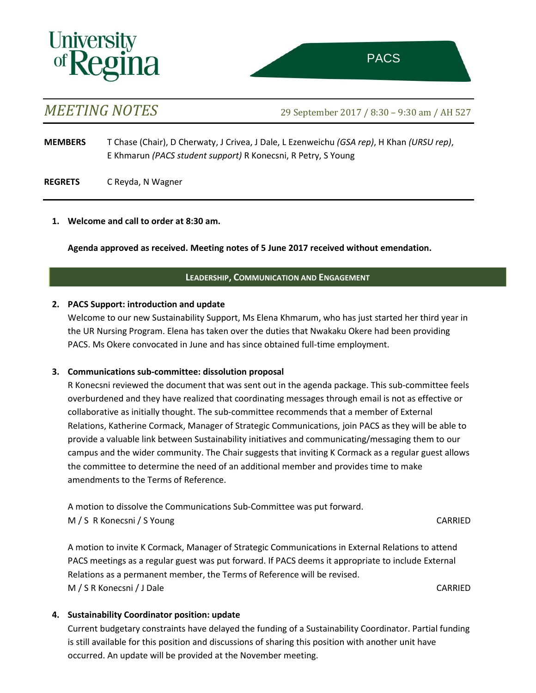# **University<br>of Regina**

*MEETING NOTES* 29 September <sup>2017</sup> / 8:30 – 9:30 am / AH 527

**MEMBERS** T Chase (Chair), D Cherwaty, J Crivea, J Dale, L Ezenweichu *(GSA rep)*, H Khan *(URSU rep)*, E Khmarun *(PACS student support)* R Konecsni, R Petry, S Young

**REGRETS** C Reyda, N Wagner

# **1. Welcome and call to order at 8:30 am.**

**Agenda approved as received. Meeting notes of 5 June 2017 received without emendation.**

# **LEADERSHIP, COMMUNICATION AND ENGAGEMENT**

## **2. PACS Support: introduction and update**

Welcome to our new Sustainability Support, Ms Elena Khmarum, who has just started her third year in the UR Nursing Program. Elena has taken over the duties that Nwakaku Okere had been providing PACS. Ms Okere convocated in June and has since obtained full-time employment.

# **3. Communications sub-committee: dissolution proposal**

R Konecsni reviewed the document that was sent out in the agenda package. This sub-committee feels overburdened and they have realized that coordinating messages through email is not as effective or collaborative as initially thought. The sub-committee recommends that a member of External Relations, Katherine Cormack, Manager of Strategic Communications, join PACS as they will be able to provide a valuable link between Sustainability initiatives and communicating/messaging them to our campus and the wider community. The Chair suggests that inviting K Cormack as a regular guest allows the committee to determine the need of an additional member and provides time to make amendments to the Terms of Reference.

A motion to dissolve the Communications Sub-Committee was put forward. M / S R Konecsni / S Young CARRIED

A motion to invite K Cormack, Manager of Strategic Communications in External Relations to attend PACS meetings as a regular guest was put forward. If PACS deems it appropriate to include External Relations as a permanent member, the Terms of Reference will be revised. M / S R Konecsni / J Dale CARRIED

# **4. Sustainability Coordinator position: update**

Current budgetary constraints have delayed the funding of a Sustainability Coordinator. Partial funding is still available for this position and discussions of sharing this position with another unit have occurred. An update will be provided at the November meeting.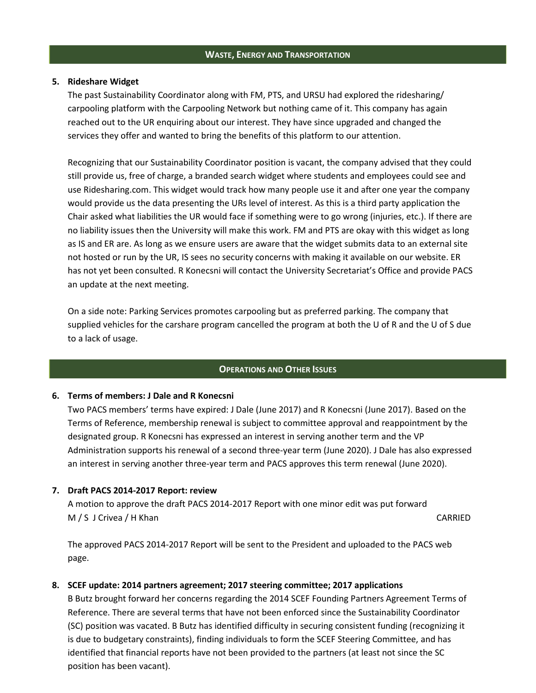#### **WASTE, ENERGY AND TRANSPORTATION**

#### **5. Rideshare Widget**

The past Sustainability Coordinator along with FM, PTS, and URSU had explored the ridesharing/ carpooling platform with the Carpooling Network but nothing came of it. This company has again reached out to the UR enquiring about our interest. They have since upgraded and changed the services they offer and wanted to bring the benefits of this platform to our attention.

Recognizing that our Sustainability Coordinator position is vacant, the company advised that they could still provide us, free of charge, a branded search widget where students and employees could see and use Ridesharing.com. This widget would track how many people use it and after one year the company would provide us the data presenting the URs level of interest. As this is a third party application the Chair asked what liabilities the UR would face if something were to go wrong (injuries, etc.). If there are no liability issues then the University will make this work. FM and PTS are okay with this widget as long as IS and ER are. As long as we ensure users are aware that the widget submits data to an external site not hosted or run by the UR, IS sees no security concerns with making it available on our website. ER has not yet been consulted. R Konecsni will contact the University Secretariat's Office and provide PACS an update at the next meeting.

On a side note: Parking Services promotes carpooling but as preferred parking. The company that supplied vehicles for the carshare program cancelled the program at both the U of R and the U of S due to a lack of usage.

#### **OPERATIONS AND OTHER ISSUES**

#### **6. Terms of members: J Dale and R Konecsni**

Two PACS members' terms have expired: J Dale (June 2017) and R Konecsni (June 2017). Based on the Terms of Reference, membership renewal is subject to committee approval and reappointment by the designated group. R Konecsni has expressed an interest in serving another term and the VP Administration supports his renewal of a second three-year term (June 2020). J Dale has also expressed an interest in serving another three-year term and PACS approves this term renewal (June 2020).

#### **7. Draft PACS 2014-2017 Report: review**

A motion to approve the draft PACS 2014-2017 Report with one minor edit was put forward M / S J Crivea / H Khan CARRIED

The approved PACS 2014-2017 Report will be sent to the President and uploaded to the PACS web page.

### **8. SCEF update: 2014 partners agreement; 2017 steering committee; 2017 applications**

B Butz brought forward her concerns regarding the 2014 SCEF Founding Partners Agreement Terms of Reference. There are several terms that have not been enforced since the Sustainability Coordinator (SC) position was vacated. B Butz has identified difficulty in securing consistent funding (recognizing it is due to budgetary constraints), finding individuals to form the SCEF Steering Committee, and has identified that financial reports have not been provided to the partners (at least not since the SC position has been vacant).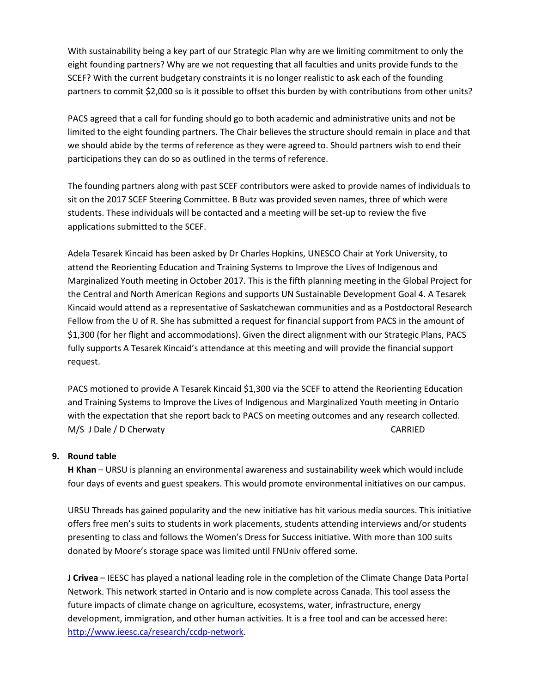With sustainability being a key part of our Strategic Plan why are we limiting commitment to only the eight founding partners? Why are we not requesting that all faculties and units provide funds to the SCEF? With the current budgetary constraints it is no longer realistic to ask each of the founding partners to commit \$2,000 so is it possible to offset this burden by with contributions from other units?

PACS agreed that a call for funding should go to both academic and administrative units and not be limited to the eight founding partners. The Chair believes the structure should remain in place and that we should abide by the terms of reference as they were agreed to. Should partners wish to end their participations they can do so as outlined in the terms of reference.

The founding partners along with past SCEF contributors were asked to provide names of individuals to sit on the 2017 SCEF Steering Committee. B Butz was provided seven names, three of which were students. These individuals will be contacted and a meeting will be set-up to review the five applications submitted to the SCEF.

Adela Tesarek Kincaid has been asked by Dr Charles Hopkins, UNESCO Chair at York University, to attend the Reorienting Education and Training Systems to Improve the Lives of Indigenous and Marginalized Youth meeting in October 2017. This is the fifth planning meeting in the Global Project for the Central and North American Regions and supports UN Sustainable Development Goal 4. A Tesarek Kincaid would attend as a representative of Saskatchewan communities and as a Postdoctoral Research Fellow from the U of R. She has submitted a request for financial support from PACS in the amount of \$1,300 (for her flight and accommodations). Given the direct alignment with our Strategic Plans, PACS fully supports A Tesarek Kincaid's attendance at this meeting and will provide the financial support request.

PACS motioned to provide A Tesarek Kincaid \$1,300 via the SCEF to attend the Reorienting Education and Training Systems to Improve the Lives of Indigenous and Marginalized Youth meeting in Ontario with the expectation that she report back to PACS on meeting outcomes and any research collected. M/S J Dale / D Cherwaty CARRIED

### **9. Round table**

**H Khan** – URSU is planning an environmental awareness and sustainability week which would include four days of events and guest speakers. This would promote environmental initiatives on our campus.

URSU Threads has gained popularity and the new initiative has hit various media sources. This initiative offers free men's suits to students in work placements, students attending interviews and/or students presenting to class and follows the Women's Dress for Success initiative. With more than 100 suits donated by Moore's storage space was limited until FNUniv offered some.

**J Crivea** – IEESC has played a national leading role in the completion of the Climate Change Data Portal Network. This network started in Ontario and is now complete across Canada. This tool assess the future impacts of climate change on agriculture, ecosystems, water, infrastructure, energy development, immigration, and other human activities. It is a free tool and can be accessed here: [http://www.ieesc.ca/research/ccdp-network.](http://www.ieesc.ca/research/ccdp-network)